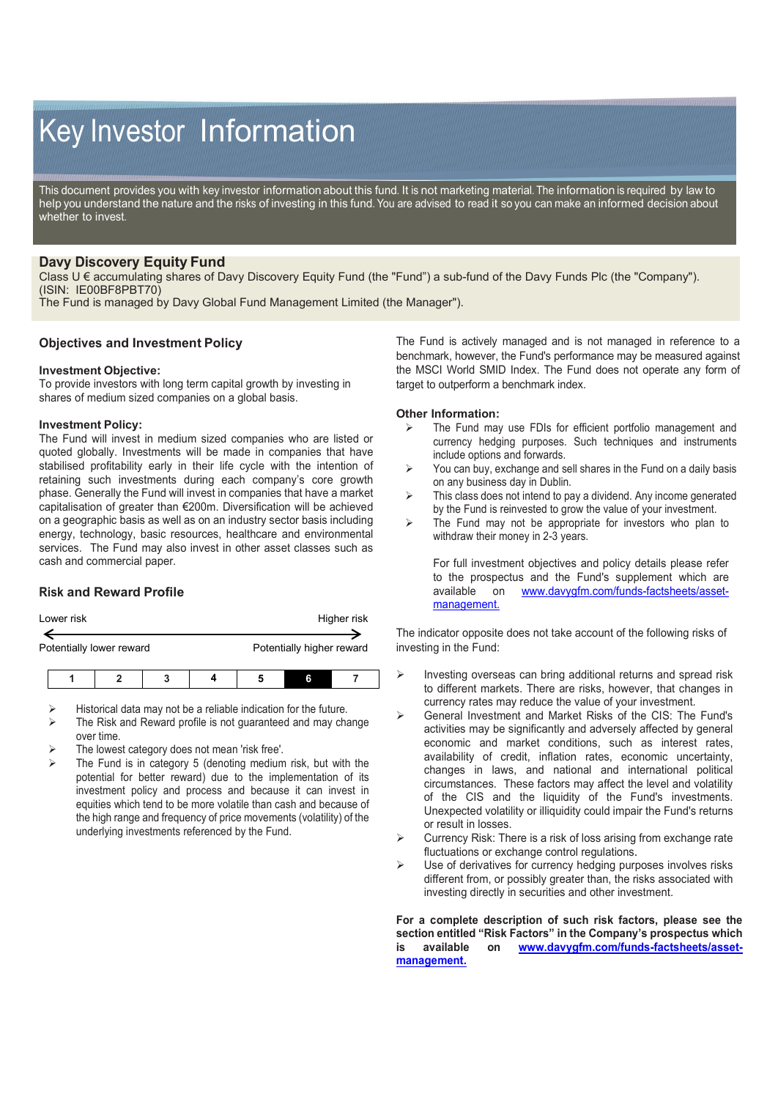# Key Investor Information

This document provides you with key investor information about this fund. It is not marketing material. The information is required by law to help you understand the nature and the risks of investing in this fund. You are advised to read it so you can make an informed decision about whether to invest.

## **Davy Discovery Equity Fund**

Class U € accumulating shares of Davy Discovery Equity Fund (the "Fund") a sub-fund of the Davy Funds Plc (the "Company"). (ISIN: IE00BF8PBT70)

The Fund is managed by Davy Global Fund Management Limited (the Manager").

## **Objectives and Investment Policy**

#### **Investment Objective:**

To provide investors with long term capital growth by investing in shares of medium sized companies on a global basis.

#### **Investment Policy:**

The Fund will invest in medium sized companies who are listed or quoted globally. Investments will be made in companies that have stabilised profitability early in their life cycle with the intention of retaining such investments during each company's core growth phase. Generally the Fund will invest in companies that have a market capitalisation of greater than €200m. Diversification will be achieved on a geographic basis as well as on an industry sector basis including energy, technology, basic resources, healthcare and environmental services. The Fund may also invest in other asset classes such as cash and commercial paper.

## **Risk and Reward Profile**

| Lower risk | Higher risk |
|------------|-------------|
|            |             |

Potentially lower reward **Potentially higher reward** 

- Historical data may not be a reliable indication for the future.
- The Risk and Reward profile is not guaranteed and may change over time.
- The lowest category does not mean 'risk free'.
- The Fund is in category 5 (denoting medium risk, but with the potential for better reward) due to the implementation of its investment policy and process and because it can invest in equities which tend to be more volatile than cash and because of the high range and frequency of price movements (volatility) of the underlying investments referenced by the Fund.

The Fund is actively managed and is not managed in reference to a benchmark, however, the Fund's performance may be measured against the MSCI World SMID Index. The Fund does not operate any form of target to outperform a benchmark index.

#### **Other Information:**

- $\triangleright$  The Fund may use FDIs for efficient portfolio management and currency hedging purposes. Such techniques and instruments include options and forwards.
- $\triangleright$  You can buy, exchange and sell shares in the Fund on a daily basis on any business day in Dublin.
- $\triangleright$  This class does not intend to pay a dividend. Any income generated by the Fund is reinvested to grow the value of your investment.
- $\triangleright$  The Fund may not be appropriate for investors who plan to withdraw their money in 2-3 years.

For full investment objectives and policy details please refer to the prospectus and the Fund's supplement which are available on www.davvafm.com/funds-factsheets/asset[www.davygfm.com/funds-factsheets/asset](http://www.davygfm.com/funds-factsheets/asset-management.)[management.](http://www.davygfm.com/funds-factsheets/asset-management.)

The indicator opposite does not take account of the following risks of investing in the Fund:

- $\triangleright$  Investing overseas can bring additional returns and spread risk to different markets. There are risks, however, that changes in currency rates may reduce the value of your investment.
- General Investment and Market Risks of the CIS: The Fund's activities may be significantly and adversely affected by general economic and market conditions, such as interest rates, availability of credit, inflation rates, economic uncertainty, changes in laws, and national and international political circumstances. These factors may affect the level and volatility of the CIS and the liquidity of the Fund's investments. Unexpected volatility or illiquidity could impair the Fund's returns or result in losses.
- $\triangleright$  Currency Risk: There is a risk of loss arising from exchange rate fluctuations or exchange control regulations.
- Use of derivatives for currency hedging purposes involves risks different from, or possibly greater than, the risks associated with investing directly in securities and other investment.

**For a complete description of such risk factors, please see the section entitled "Risk Factors" in the Company's prospectus which is available on [www.davygfm.com/funds-factsheets/asset](http://www.davygfm.com/funds-factsheets/asset-management.)[management.](http://www.davygfm.com/funds-factsheets/asset-management.)**